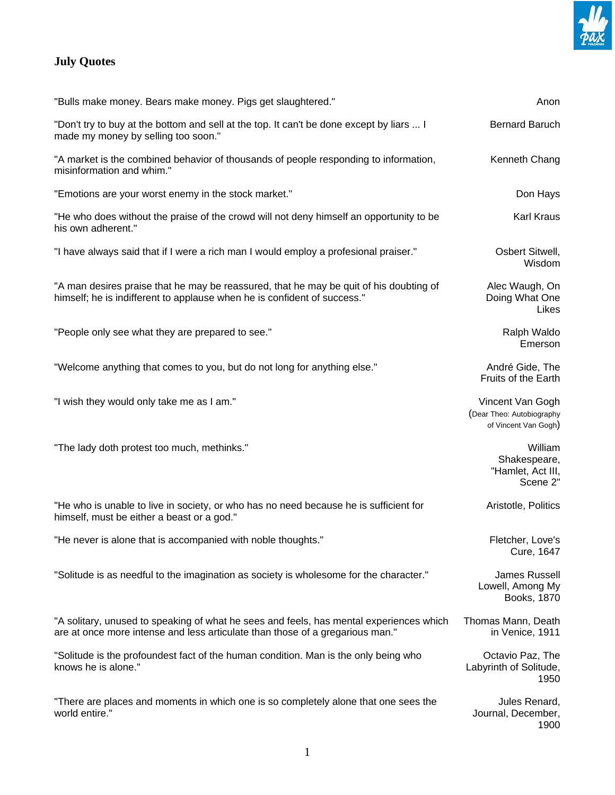

## **July Quotes**

| "Bulls make money. Bears make money. Pigs get slaughtered."                                                                                                              | Anon                                                                  |
|--------------------------------------------------------------------------------------------------------------------------------------------------------------------------|-----------------------------------------------------------------------|
| "Don't try to buy at the bottom and sell at the top. It can't be done except by liars  I<br>made my money by selling too soon."                                          | <b>Bernard Baruch</b>                                                 |
| "A market is the combined behavior of thousands of people responding to information,<br>misinformation and whim."                                                        | Kenneth Chang                                                         |
| "Emotions are your worst enemy in the stock market."                                                                                                                     | Don Hays                                                              |
| "He who does without the praise of the crowd will not deny himself an opportunity to be<br>his own adherent."                                                            | Karl Kraus                                                            |
| "I have always said that if I were a rich man I would employ a profesional praiser."                                                                                     | Osbert Sitwell,<br>Wisdom                                             |
| "A man desires praise that he may be reassured, that he may be quit of his doubting of<br>himself; he is indifferent to applause when he is confident of success."       | Alec Waugh, On<br>Doing What One<br>Likes                             |
| "People only see what they are prepared to see."                                                                                                                         | Ralph Waldo<br>Emerson                                                |
| "Welcome anything that comes to you, but do not long for anything else."                                                                                                 | André Gide, The<br>Fruits of the Earth                                |
| "I wish they would only take me as I am."                                                                                                                                | Vincent Van Gogh<br>(Dear Theo: Autobiography<br>of Vincent Van Gogh) |
| "The lady doth protest too much, methinks."                                                                                                                              | William<br>Shakespeare,<br>"Hamlet, Act III,<br>Scene 2"              |
| "He who is unable to live in society, or who has no need because he is sufficient for<br>himself, must be either a beast or a god."                                      | Aristotle, Politics                                                   |
| "He never is alone that is accompanied with noble thoughts."                                                                                                             | Fletcher, Love's<br>Cure, 1647                                        |
| "Solitude is as needful to the imagination as society is wholesome for the character."                                                                                   | <b>James Russell</b><br>Lowell, Among My<br>Books, 1870               |
| "A solitary, unused to speaking of what he sees and feels, has mental experiences which<br>are at once more intense and less articulate than those of a gregarious man." | Thomas Mann, Death<br>in Venice, 1911                                 |
| "Solitude is the profoundest fact of the human condition. Man is the only being who<br>knows he is alone."                                                               | Octavio Paz, The<br>Labyrinth of Solitude,<br>1950                    |
| "There are places and moments in which one is so completely alone that one sees the<br>world entire."                                                                    | Jules Renard,<br>Journal, December,<br>1900                           |